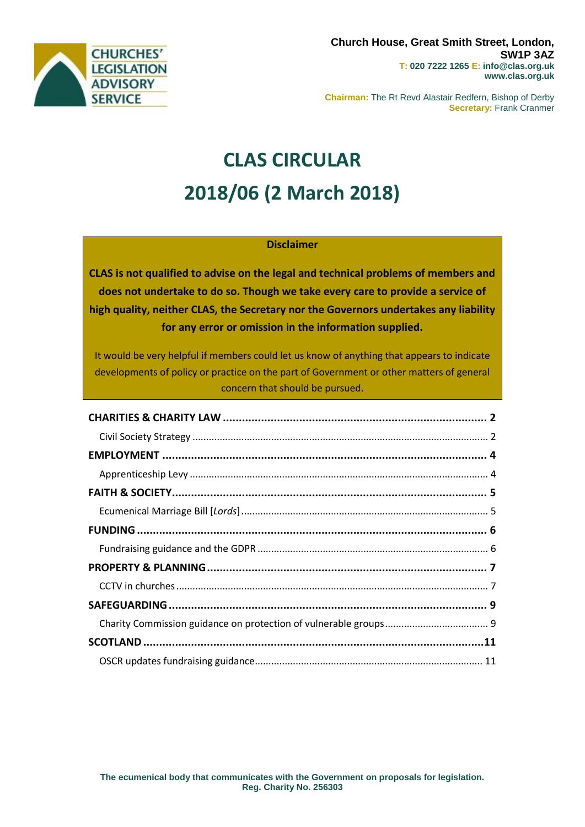

**Chairman:** The Rt Revd Alastair Redfern, Bishop of Derby **Secretary:** Frank Cranmer

# **CLAS CIRCULAR 2018/06 (2 March 2018)**

### **Disclaimer**

**CLAS is not qualified to advise on the legal and technical problems of members and does not undertake to do so. Though we take every care to provide a service of high quality, neither CLAS, the Secretary nor the Governors undertakes any liability for any error or omission in the information supplied.**

It would be very helpful if members could let us know of anything that appears to indicate developments of policy or practice on the part of Government or other matters of general concern that should be pursued.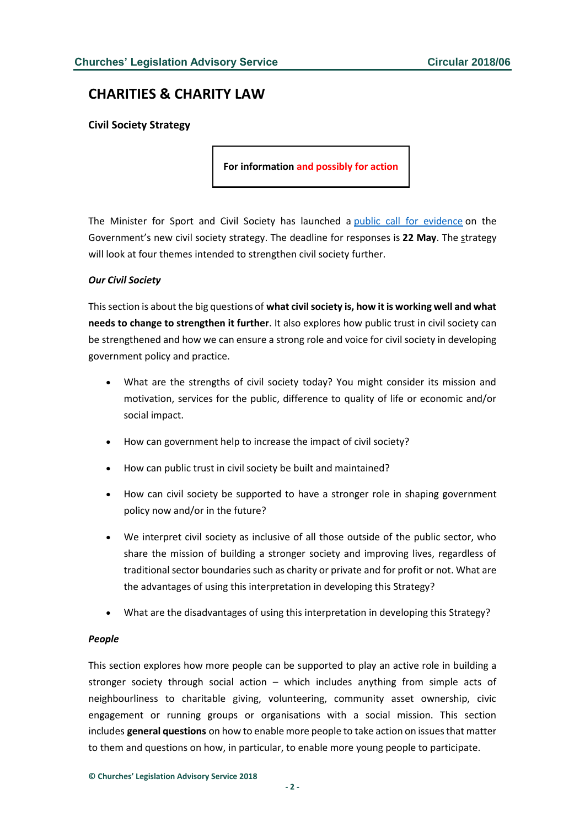# <span id="page-1-0"></span>**CHARITIES & CHARITY LAW**

<span id="page-1-1"></span>**Civil Society Strategy**

**For information and possibly for action**

The Minister for Sport and Civil Society has launched a [public call for evidence](https://www.gov.uk/government/consultations/civil-society-strategy-have-your-say) on the Government's new civil society strategy. The deadline for responses is **22 May**. The strategy will look at four themes intended to strengthen civil society further.

#### *Our Civil Society*

This section is about the big questions of **what civil society is, how it is working well and what needs to change to strengthen it further**. It also explores how public trust in civil society can be strengthened and how we can ensure a strong role and voice for civil society in developing government policy and practice.

- What are the strengths of civil society today? You might consider its mission and motivation, services for the public, difference to quality of life or economic and/or social impact.
- How can government help to increase the impact of civil society?
- How can public trust in civil society be built and maintained?
- How can civil society be supported to have a stronger role in shaping government policy now and/or in the future?
- We interpret civil society as inclusive of all those outside of the public sector, who share the mission of building a stronger society and improving lives, regardless of traditional sector boundaries such as charity or private and for profit or not. What are the advantages of using this interpretation in developing this Strategy?
- What are the disadvantages of using this interpretation in developing this Strategy?

#### *People*

This section explores how more people can be supported to play an active role in building a stronger society through social action – which includes anything from simple acts of neighbourliness to charitable giving, volunteering, community asset ownership, civic engagement or running groups or organisations with a social mission. This section includes **general questions** on how to enable more people to take action on issues that matter to them and questions on how, in particular, to enable more young people to participate.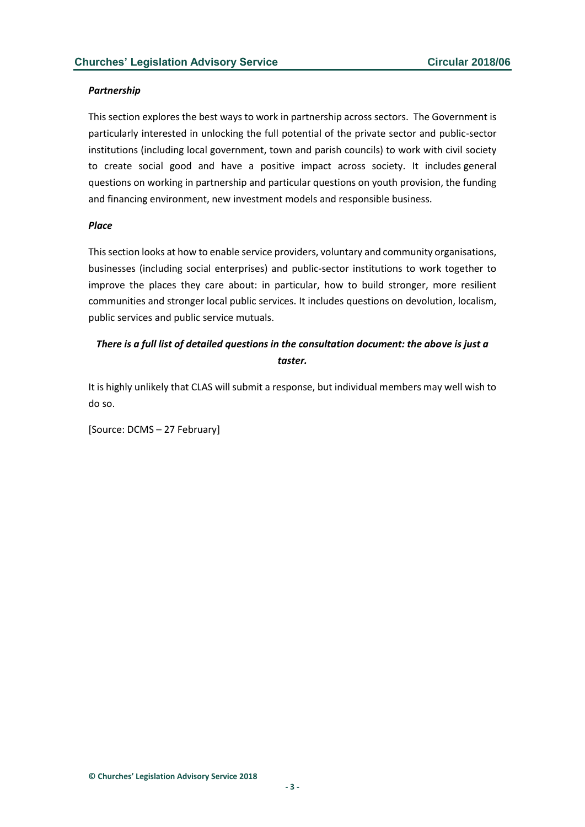#### *Partnership*

This section explores the best ways to work in partnership across sectors. The Government is particularly interested in unlocking the full potential of the private sector and public-sector institutions (including local government, town and parish councils) to work with civil society to create social good and have a positive impact across society. It includes general questions on working in partnership and particular questions on youth provision, the funding and financing environment, new investment models and responsible business.

#### *Place*

This section looks at how to enable service providers, voluntary and community organisations, businesses (including social enterprises) and public-sector institutions to work together to improve the places they care about: in particular, how to build stronger, more resilient communities and stronger local public services. It includes questions on devolution, localism, public services and public service mutuals.

### *There is a full list of detailed questions in the consultation document: the above is just a taster.*

It is highly unlikely that CLAS will submit a response, but individual members may well wish to do so.

[Source: DCMS – 27 February]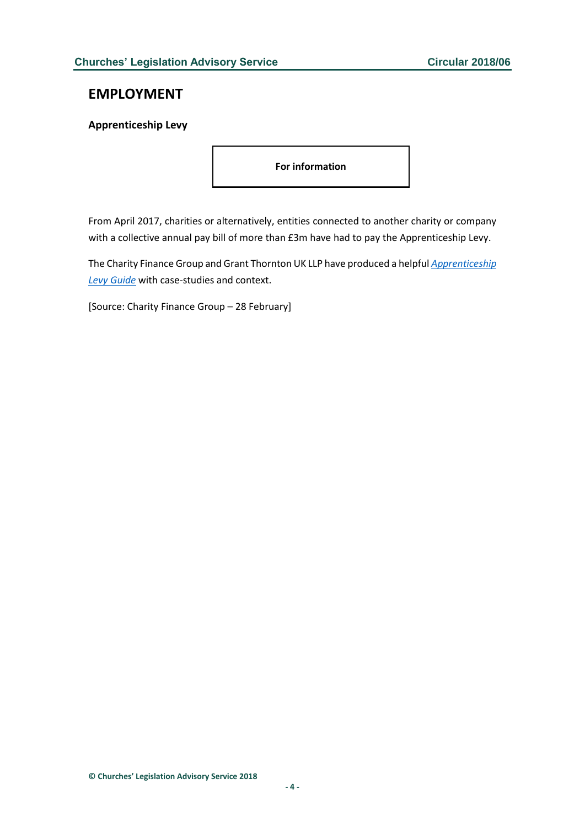## <span id="page-3-0"></span>**EMPLOYMENT**

### <span id="page-3-1"></span>**Apprenticeship Levy**

**For information**

From April 2017, charities or alternatively, entities connected to another charity or company with a collective annual pay bill of more than £3m have had to pay the Apprenticeship Levy.

The Charity Finance Group and Grant Thornton UK LLP have produced a helpful *[Apprenticeship](http://www.cfg.org.uk/resources/Publications/~/media/Files/Resources/CFDG%20Publications/CFG273%20Apprenticeship%20Levy%20Guide_AW01_WEB.ashx)  [Levy Guide](http://www.cfg.org.uk/resources/Publications/~/media/Files/Resources/CFDG%20Publications/CFG273%20Apprenticeship%20Levy%20Guide_AW01_WEB.ashx)* with case-studies and context.

[Source: Charity Finance Group – 28 February]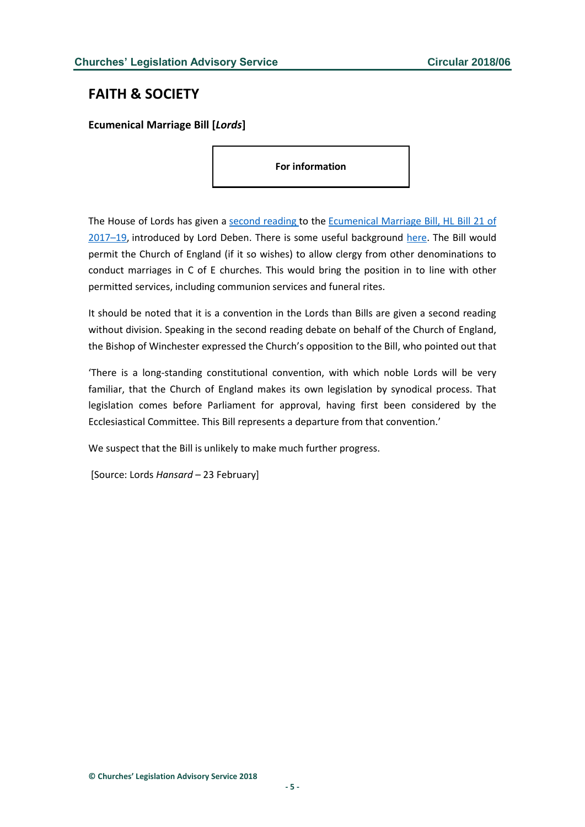# <span id="page-4-0"></span>**FAITH & SOCIETY**

<span id="page-4-1"></span>**Ecumenical Marriage Bill [***Lords***]**

**For information**

The House of Lords has given a [second reading](https://hansard.parliament.uk/lords/2018-02-23/debates/D4DC782D-5AFF-4EC2-9B84-3E984DE8AE6C/EcumenicalMarriageBill(HL)) to the [Ecumenical Marriage Bill, HL Bill 21 of](https://services.parliament.uk/bills/2017-19/ecumenicalmarriage.html)  [2017](https://services.parliament.uk/bills/2017-19/ecumenicalmarriage.html)–19, introduced by Lord Deben. There is some useful background [here.](https://researchbriefings.parliament.uk/ResearchBriefing/Summary/LLN-2018-0023) The Bill would permit the Church of England (if it so wishes) to allow clergy from other denominations to conduct marriages in C of E churches. This would bring the position in to line with other permitted services, including communion services and funeral rites.

It should be noted that it is a convention in the Lords than Bills are given a second reading without division. Speaking in the second reading debate on behalf of the Church of England, the Bishop of Winchester expressed the Church's opposition to the Bill, who pointed out that

'There is a long-standing constitutional convention, with which noble Lords will be very familiar, that the Church of England makes its own legislation by synodical process. That legislation comes before Parliament for approval, having first been considered by the Ecclesiastical Committee. This Bill represents a departure from that convention.'

We suspect that the Bill is unlikely to make much further progress.

[Source: Lords *Hansard* – 23 February]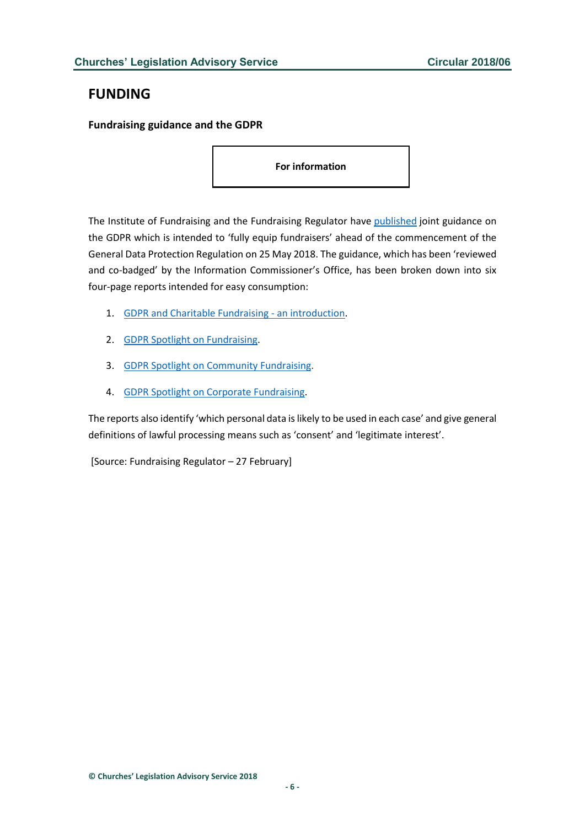## <span id="page-5-0"></span>**FUNDING**

<span id="page-5-1"></span>**Fundraising guidance and the GDPR**

**For information**

The Institute of Fundraising and the Fundraising Regulator have [published](https://www.institute-of-fundraising.org.uk/guidance/research/get-ready-for-gdpr/spotlight-series/) joint guidance on the GDPR which is intended to 'fully equip fundraisers' ahead of the commencement of the General Data Protection Regulation on 25 May 2018. The guidance, which has been 'reviewed and co-badged' by the Information Commissioner's Office, has been broken down into six four-page reports intended for easy consumption:

- 1. [GDPR and Charitable Fundraising -](https://www.institute-of-fundraising.org.uk/documents/1-gdpr-spotlight-introduction/) an introduction.
- 2. [GDPR Spotlight on Fundraising.](https://www.institute-of-fundraising.org.uk/documents/2-gdpr-spotlight-on-fundraising/)
- 3. [GDPR Spotlight on Community Fundraising.](https://www.institute-of-fundraising.org.uk/documents/3-gdpr-spotlight-on-community-fundraising/)
- 4. [GDPR Spotlight on Corporate Fundraising.](https://www.institute-of-fundraising.org.uk/documents/4-gdpr-spotlight-on-corporate-fundraising/)

The reports also identify 'which personal data is likely to be used in each case' and give general definitions of lawful processing means such as 'consent' and 'legitimate interest'.

[Source: Fundraising Regulator – 27 February]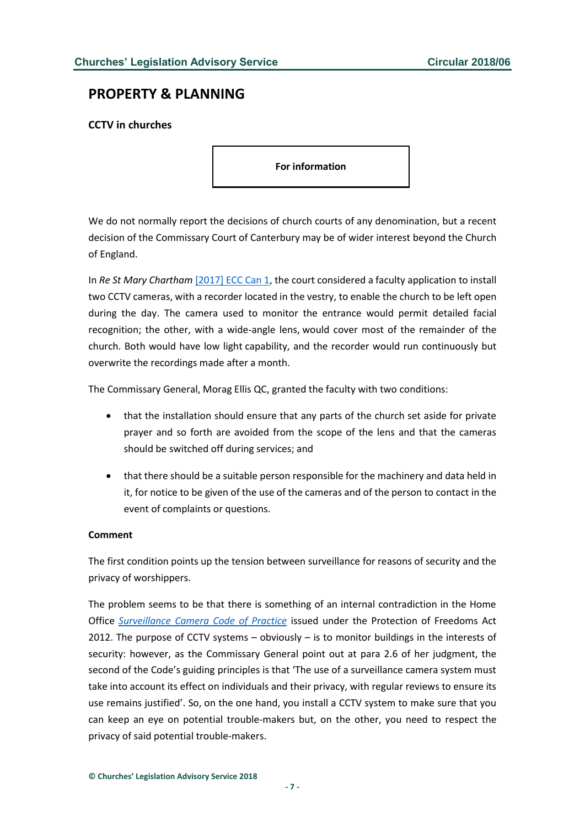# <span id="page-6-0"></span>**PROPERTY & PLANNING**

### <span id="page-6-1"></span>**CCTV in churches**

**For information**

We do not normally report the decisions of church courts of any denomination, but a recent decision of the Commissary Court of Canterbury may be of wider interest beyond the Church of England.

In *Re St Mary Chartham* [\[2017\] ECC Can 1,](http://www.ecclesiasticallawassociation.org.uk/index.php/judgmentlist/miscellaneous/chartham/download) the court considered a faculty application to install two CCTV cameras, with a recorder located in the vestry, to enable the church to be left open during the day. The camera used to monitor the entrance would permit detailed facial recognition; the other, with a wide-angle lens, would cover most of the remainder of the church. Both would have low light capability, and the recorder would run continuously but overwrite the recordings made after a month.

The Commissary General, Morag Ellis QC, granted the faculty with two conditions:

- that the installation should ensure that any parts of the church set aside for private prayer and so forth are avoided from the scope of the lens and that the cameras should be switched off during services; and
- that there should be a suitable person responsible for the machinery and data held in it, for notice to be given of the use of the cameras and of the person to contact in the event of complaints or questions.

#### **Comment**

The first condition points up the tension between surveillance for reasons of security and the privacy of worshippers.

The problem seems to be that there is something of an internal contradiction in the Home Office *[Surveillance Camera Code of Practice](file:///C:/Users/filomena/AppData/Local/Microsoft/Windows/Temporary%20Internet%20Files/Content.Outlook/1XTDN5UH/Surveillance%20Camera%20Code%20of%20Practice)* issued under the Protection of Freedoms Act 2012. The purpose of CCTV systems – obviously – is to monitor buildings in the interests of security: however, as the Commissary General point out at para 2.6 of her judgment, the second of the Code's guiding principles is that 'The use of a surveillance camera system must take into account its effect on individuals and their privacy, with regular reviews to ensure its use remains justified'. So, on the one hand, you install a CCTV system to make sure that you can keep an eye on potential trouble-makers but, on the other, you need to respect the privacy of said potential trouble-makers.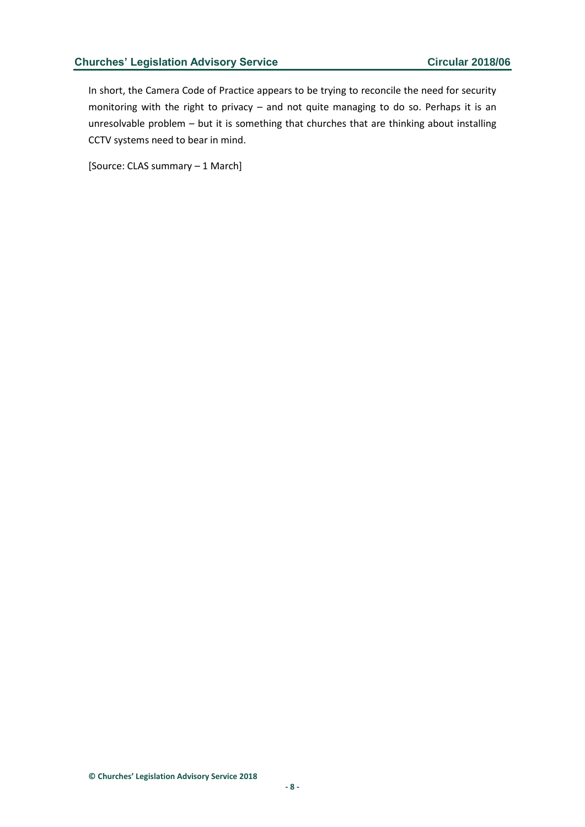In short, the Camera Code of Practice appears to be trying to reconcile the need for security monitoring with the right to privacy – and not quite managing to do so. Perhaps it is an unresolvable problem – but it is something that churches that are thinking about installing CCTV systems need to bear in mind.

[Source: CLAS summary – 1 March]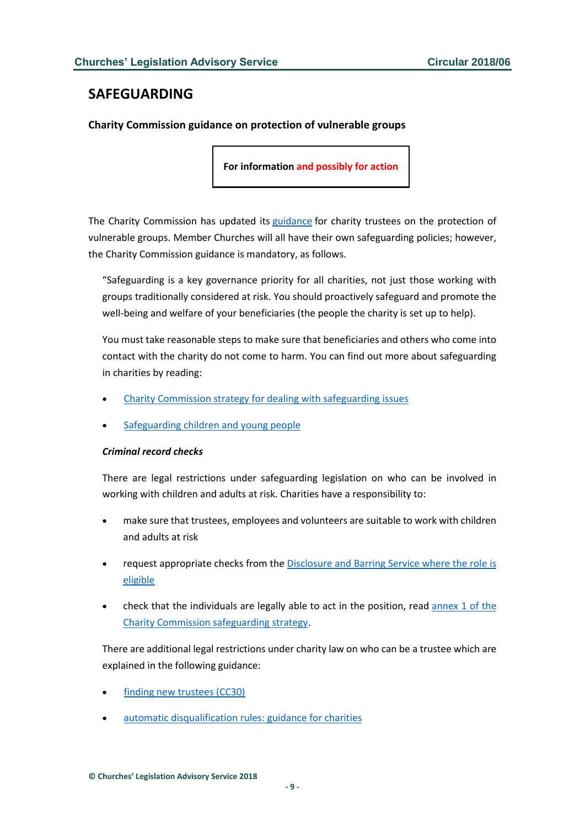# <span id="page-8-0"></span>**SAFEGUARDING**

### <span id="page-8-1"></span>**Charity Commission guidance on protection of vulnerable groups**

**For information and possibly for action**

The Charity Commission has updated its [guidance](https://www.gov.uk/guidance/charities-how-to-protect-vulnerable-groups-including-children?utm_source=feedburner&utm_medium=email&utm_campaign=Feed%3A+CharityCommissionUpdates+%28Charity+Commission+updates%29) for charity trustees on the protection of vulnerable groups. Member Churches will all have their own safeguarding policies; however, the Charity Commission guidance is mandatory, as follows.

"Safeguarding is a key governance priority for all charities, not just those working with groups traditionally considered at risk. You should proactively safeguard and promote the well-being and welfare of your beneficiaries (the people the charity is set up to help).

You must take reasonable steps to make sure that beneficiaries and others who come into contact with the charity do not come to harm. You can find out more about safeguarding in charities by reading:

- [Charity Commission strategy for dealing with safeguarding issues](https://www.gov.uk/government/publications/strategy-for-dealing-with-safeguarding-issues-in-charities)
- [Safeguarding children and young people](https://www.gov.uk/government/publications/safeguarding-children-and-young-people)

#### *Criminal record checks*

There are legal restrictions under safeguarding legislation on who can be involved in working with children and adults at risk. Charities have a responsibility to:

- make sure that trustees, employees and volunteers are suitable to work with children and adults at risk
- request appropriate checks from the Disclosure and Barring Service where the role is [eligible](https://www.gov.uk/government/collections/dbs-eligibility-guidance)
- check that the individuals are legally able to act in the position, read annex 1 of the [Charity Commission safeguarding strategy.](https://www.gov.uk/government/publications/strategy-for-dealing-with-safeguarding-issues-in-charities/annex-1-trustee-safeguarding-duties-explained)

There are additional legal restrictions under charity law on who can be a trustee which are explained in the following guidance:

- [finding new trustees \(CC30\)](https://www.gov.uk/government/publications/finding-new-trustees-cc30)
- [automatic disqualification rules: guidance for charities](https://www.gov.uk/guidance/automatic-disqualification-rule-changes-guidance-for-charities)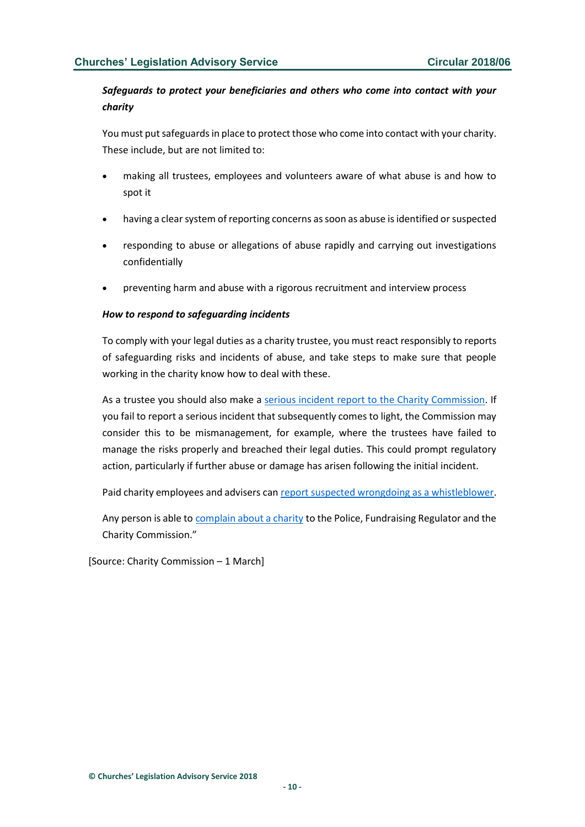### *Safeguards to protect your beneficiaries and others who come into contact with your charity*

You must put safeguards in place to protect those who come into contact with your charity. These include, but are not limited to:

- making all trustees, employees and volunteers aware of what abuse is and how to spot it
- having a clear system of reporting concerns as soon as abuse is identified or suspected
- responding to abuse or allegations of abuse rapidly and carrying out investigations confidentially
- preventing harm and abuse with a rigorous recruitment and interview process

#### *How to respond to safeguarding incidents*

To comply with your legal duties as a charity trustee, you must react responsibly to reports of safeguarding risks and incidents of abuse, and take steps to make sure that people working in the charity know how to deal with these.

As a trustee you should also make a [serious incident report to the Charity Commission.](https://www.gov.uk/guidance/how-to-report-a-serious-incident-in-your-charity) If you fail to report a serious incident that subsequently comes to light, the Commission may consider this to be mismanagement, for example, where the trustees have failed to manage the risks properly and breached their legal duties. This could prompt regulatory action, particularly if further abuse or damage has arisen following the initial incident.

Paid charity employees and advisers can [report suspected wrongdoing as a whistleblower.](https://www.gov.uk/guidance/whistleblowing-guidance-for-charity-employees)

Any person is able to [complain about a charity](https://www.gov.uk/complain-about-charity) to the Police, Fundraising Regulator and the Charity Commission."

[Source: Charity Commission – 1 March]